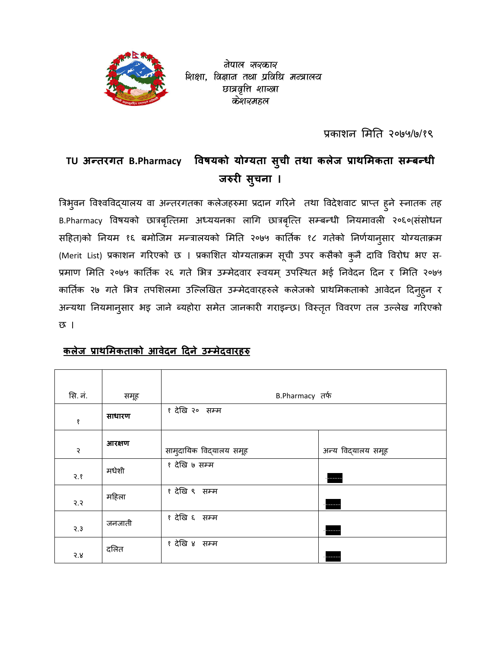

वेपाल सरकार शिक्षा, विज्ञान तथा प्रविधि मन्त्रालय छात्रवृत्ति शाख्वा केशव्यमहल

प्रकाशन मिति २०७५/७/१९

### TU अन्तरगत B.Pharmacy तरगत B.Pharmacy विषयको योग्यता सुची तथा कलेज प्राथमिकता सम्बन्धी जरुरी **सुचना** ।

त्रिभुवन विश्वविद्यालय वा अन्तरगतका कलेजहरुमा प्रदान गरिने तथा विदेशवाट प्राप्त हुने स्नातक तह B.Pharmacy विषयको छात्रबृत्तिमा अध्ययनका लागि छात्रबृत्ति सम्बन्धी नियमावली २०६०(संसोधन सहित)को नियम १६ बमोजिम मन्त्रालयको मिति २०७५ कार्तिक १८ गतेको निर्णयानुसार योग्यताक्रम (Merit List) प्रकाशन गरिएको छ । प्रकाशित योग्यताक्रम सूची उपर कसैको कुनै दावि विरोध भए स-प्रमाण मिति २०७५ कार्तिक २६ गते भित्र उम्मेदवार स्वयम् उपस्थित भई निवेदन दिन र मिति २०७५ कार्तिक २७ गते भित्र तपशिलमा उल्लिखित उम्मेदवारहरुले कलेजको प्राथमिकताको आवेदन दिनुहुन र अन्यथा नियमानुसार भइ जाने ब्यहोरा समेत जानकारी गराइन्छ। विस्तृत विवरण तल उल्लेख गरिएको छ ।

# **कलेज ाथमकताको आवेदन #दने उमेदवारह**

| सि. नं.       | समूह   | B.Pharmacy तर्फ         |                    |
|---------------|--------|-------------------------|--------------------|
| $\pmb{\S}$    | साधारण | १ देखि २०) सम्म         |                    |
| $\mathcal{S}$ | आरक्षण | सामुदायिक विद्यालय समूह | अन्य विद्यालय समूह |
| 3.8           | मधेशी  | १ देखि ७ सम्म           | ------             |
| 5.5           | महिला  | १ देखि ९ सम्म           | ------             |
| $3^{3}$       | जनजाती | १ देखि ६ सम्म           | ਵਾ                 |
| 5.8           | दलित   | १ देखि ४ सम्म           |                    |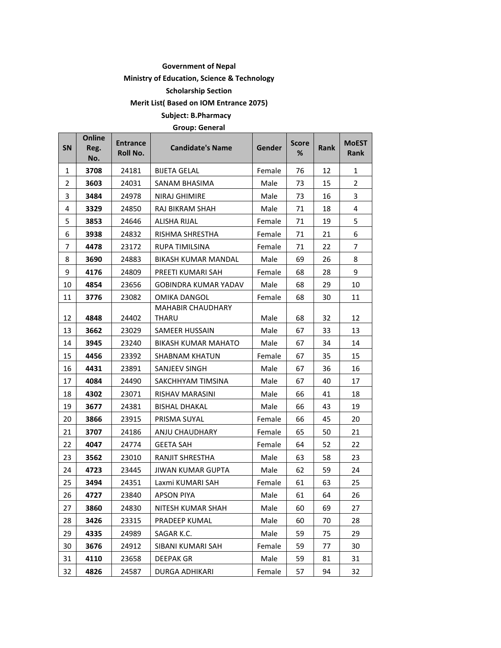### **Government of Nepal**

### **Ministry of Education, Science & Technology**

**Scholarship Section** 

**Merit List( Based on IOM Entrance 2075)** 

**Subject: B.Pharmacy** 

**Group: General** 

| SN             | <b>Online</b><br>Reg.<br>No. | <b>Entrance</b><br>Roll No. | <b>Candidate's Name</b>    | Gender | <b>Score</b><br>% | <b>Rank</b> | <b>MoEST</b><br>Rank |
|----------------|------------------------------|-----------------------------|----------------------------|--------|-------------------|-------------|----------------------|
| 1              | 3708                         | 24181                       | <b>BIJETA GELAL</b>        | Female | 76                | 12          | 1                    |
| 2              | 3603                         | 24031                       | SANAM BHASIMA              | Male   | 73                | 15          | $\overline{2}$       |
| 3              | 3484                         | 24978                       | NIRAJ GHIMIRE              | Male   | 73                | 16          | 3                    |
| 4              | 3329                         | 24850                       | RAJ BIKRAM SHAH            | Male   | 71                | 18          | 4                    |
| 5              | 3853                         | 24646                       | <b>ALISHA RIJAL</b>        | Female | 71                | 19          | 5                    |
| 6              | 3938                         | 24832                       | RISHMA SHRESTHA            | Female | 71                | 21          | 6                    |
| $\overline{7}$ | 4478                         | 23172                       | RUPA TIMILSINA             | Female | 71                | 22          | $\overline{7}$       |
| 8              | 3690                         | 24883                       | BIKASH KUMAR MANDAL        | Male   | 69                | 26          | 8                    |
| 9              | 4176                         | 24809                       | PREETI KUMARI SAH          | Female | 68                | 28          | 9                    |
| 10             | 4854                         | 23656                       | GOBINDRA KUMAR YADAV       | Male   | 68                | 29          | 10                   |
| 11             | 3776                         | 23082                       | OMIKA DANGOL               | Female | 68                | 30          | 11                   |
| 12             | 4848                         | 24402                       | MAHABIR CHAUDHARY<br>THARU | Male   | 68                | 32          | 12                   |
| 13             | 3662                         | 23029                       | SAMEER HUSSAIN             | Male   | 67                | 33          | 13                   |
| 14             | 3945                         | 23240                       | <b>BIKASH KUMAR MAHATO</b> | Male   | 67                | 34          | 14                   |
| 15             | 4456                         | 23392                       | SHABNAM KHATUN             | Female | 67                | 35          | 15                   |
| 16             | 4431                         | 23891                       | SANJEEV SINGH              | Male   | 67                | 36          | 16                   |
| 17             | 4084                         | 24490                       | SAKCHHYAM TIMSINA          | Male   | 67                | 40          | 17                   |
| 18             | 4302                         | 23071                       | RISHAV MARASINI            | Male   | 66                | 41          | 18                   |
| 19             | 3677                         | 24381                       | BISHAL DHAKAL              | Male   | 66                | 43          | 19                   |
| 20             | 3866                         | 23915                       | PRISMA SUYAL               | Female | 66                | 45          | 20                   |
| 21             | 3707                         | 24186                       | ANJU CHAUDHARY             | Female | 65                | 50          | 21                   |
| 22             | 4047                         | 24774                       | GEETA SAH                  | Female | 64                | 52          | 22                   |
| 23             | 3562                         | 23010                       | <b>RANJIT SHRESTHA</b>     | Male   | 63                | 58          | 23                   |
| 24             | 4723                         | 23445                       | JIWAN KUMAR GUPTA          | Male   | 62                | 59          | 24                   |
| 25             | 3494                         | 24351                       | Laxmi KUMARI SAH           | Female | 61                | 63          | 25                   |
| 26             | 4727                         | 23840                       | APSON PIYA                 | Male   | 61                | 64          | 26                   |
| 27             | 3860                         | 24830                       | NITESH KUMAR SHAH          | Male   | 60                | 69          | 27                   |
| 28             | 3426                         | 23315                       | PRADEEP KUMAL              | Male   | 60                | 70          | 28                   |
| 29             | 4335                         | 24989                       | SAGAR K.C.                 | Male   | 59                | 75          | 29                   |
| 30             | 3676                         | 24912                       | SIBANI KUMARI SAH          | Female | 59                | 77          | 30                   |
| 31             | 4110                         | 23658                       | <b>DEEPAK GR</b>           | Male   | 59                | 81          | 31                   |
| 32             | 4826                         | 24587                       | <b>DURGA ADHIKARI</b>      | Female | 57                | 94          | 32                   |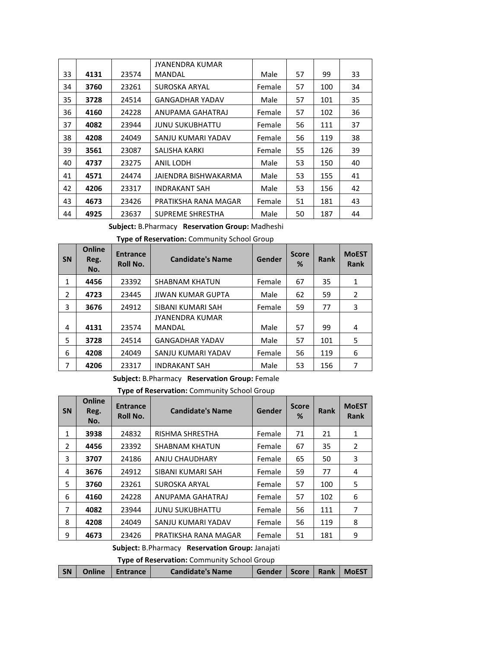|    |      |       | JYANENDRA KUMAR        |        |    |     |    |
|----|------|-------|------------------------|--------|----|-----|----|
| 33 | 4131 | 23574 | MANDAL                 | Male   | 57 | 99  | 33 |
| 34 | 3760 | 23261 | SUROSKA ARYAL          | Female | 57 | 100 | 34 |
| 35 | 3728 | 24514 | <b>GANGADHAR YADAV</b> | Male   | 57 | 101 | 35 |
| 36 | 4160 | 24228 | ANUPAMA GAHATRAJ       | Female | 57 | 102 | 36 |
| 37 | 4082 | 23944 | JUNU SUKUBHATTU        | Female | 56 | 111 | 37 |
| 38 | 4208 | 24049 | SANJU KUMARI YADAV     | Female | 56 | 119 | 38 |
| 39 | 3561 | 23087 | SALISHA KARKI          | Female | 55 | 126 | 39 |
| 40 | 4737 | 23275 | ANIL LODH              | Male   | 53 | 150 | 40 |
| 41 | 4571 | 24474 | JAIENDRA BISHWAKARMA   | Male   | 53 | 155 | 41 |
| 42 | 4206 | 23317 | <b>INDRAKANT SAH</b>   | Male   | 53 | 156 | 42 |
| 43 | 4673 | 23426 | PRATIKSHA RANA MAGAR   | Female | 51 | 181 | 43 |
| 44 | 4925 | 23637 | SUPREME SHRESTHA       | Male   | 50 | 187 | 44 |

**Subject:** B.Pharmacy **Reservation Group:** Madheshi

| <b>SN</b>      | Online<br>Reg.<br>No. | <b>Entrance</b><br><b>Roll No.</b> | <b>Candidate's Name</b>  | Gender | <b>Score</b><br>% | <b>Rank</b> | <b>MoEST</b><br><b>Rank</b> |
|----------------|-----------------------|------------------------------------|--------------------------|--------|-------------------|-------------|-----------------------------|
| $\mathbf{1}$   | 4456                  | 23392                              | <b>SHABNAM KHATUN</b>    | Female | 67                | 35          | 1                           |
| $\overline{2}$ | 4723                  | 23445                              | <b>JIWAN KUMAR GUPTA</b> | Male   | 62                | 59          | 2                           |
| 3              | 3676                  | 24912                              | SIBANI KUMARI SAH        | Female | 59                | 77          | 3                           |
|                |                       |                                    | <b>JYANENDRA KUMAR</b>   |        |                   |             |                             |
| 4              | 4131                  | 23574                              | MANDAL                   | Male   | 57                | 99          | 4                           |
| 5              | 3728                  | 24514                              | <b>GANGADHAR YADAV</b>   | Male   | 57                | 101         | 5                           |
| 6              | 4208                  | 24049                              | SANJU KUMARI YADAV       | Female | 56                | 119         | 6                           |
| 7              | 4206                  | 23317                              | <b>INDRAKANT SAH</b>     | Male   | 53                | 156         | 7                           |

**Subject:** B.Pharmacy **Reservation Group:** Female

## **Type of Reservation:** Community School Group

| <b>SN</b>      | <b>Online</b><br>Reg.<br>No. | <b>Entrance</b><br><b>Roll No.</b> | <b>Candidate's Name</b> | Gender | <b>Score</b><br>% | <b>Rank</b> | <b>MoEST</b><br><b>Rank</b> |  |  |
|----------------|------------------------------|------------------------------------|-------------------------|--------|-------------------|-------------|-----------------------------|--|--|
| 1              | 3938                         | 24832                              | RISHMA SHRESTHA         | Female | 71                | 21          | 1                           |  |  |
| $\overline{2}$ | 4456                         | 23392                              | <b>SHABNAM KHATUN</b>   | Female | 67                | 35          | 2                           |  |  |
| 3              | 3707                         | 24186                              | ANJU CHAUDHARY          | Female | 65                | 50          | 3                           |  |  |
| 4              | 3676                         | 24912                              | SIBANI KUMARI SAH       | Female | 59                | 77          | 4                           |  |  |
| 5              | 3760                         | 23261                              | SUROSKA ARYAL           | Female | 57                | 100         | 5                           |  |  |
| 6              | 4160                         | 24228                              | ANUPAMA GAHATRAJ        | Female | 57                | 102         | 6                           |  |  |
| 7              | 4082                         | 23944                              | <b>JUNU SUKUBHATTU</b>  | Female | 56                | 111         | 7                           |  |  |
| 8              | 4208                         | 24049                              | SANJU KUMARI YADAV      | Female | 56                | 119         | 8                           |  |  |
| 9              | 4673                         | 23426                              | PRATIKSHA RANA MAGAR    | Female | 51                | 181         | 9                           |  |  |
|                | .                            |                                    |                         |        |                   |             |                             |  |  |

**Subject:** B.Pharmacy **Reservation Group:** Janajati

**Type of Reservation:** Community School Group

|  |  | SN   Online   Entrance | <b>Candidate's Name</b> | Gender   Score   Rank   MoEST |  |  |  |
|--|--|------------------------|-------------------------|-------------------------------|--|--|--|
|--|--|------------------------|-------------------------|-------------------------------|--|--|--|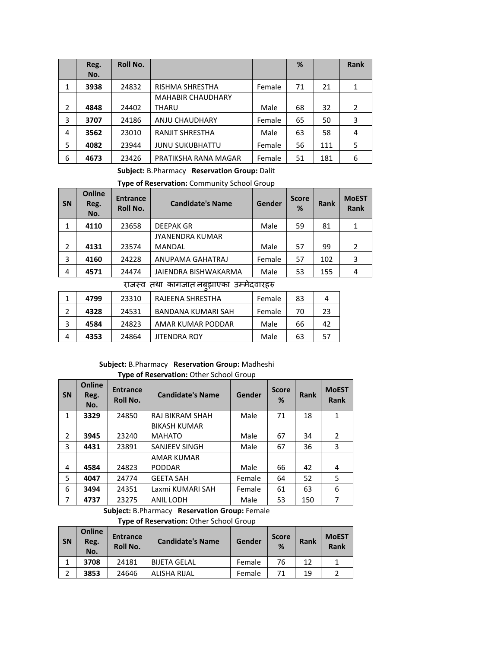|                | Reg.<br>No. | <b>Roll No.</b> |                          |        | %  |     | <b>Rank</b>    |
|----------------|-------------|-----------------|--------------------------|--------|----|-----|----------------|
| 1              | 3938        | 24832           | RISHMA SHRESTHA          | Female | 71 | 21  | 1              |
|                |             |                 | <b>MAHABIR CHAUDHARY</b> |        |    |     |                |
| $\overline{2}$ | 4848        | 24402           | THARU                    | Male   | 68 | 32  | $\overline{2}$ |
| 3              | 3707        | 24186           | ANJU CHAUDHARY           | Female | 65 | 50  | 3              |
| 4              | 3562        | 23010           | <b>RANJIT SHRESTHA</b>   | Male   | 63 | 58  | 4              |
| 5              | 4082        | 23944           | <b>JUNU SUKUBHATTU</b>   | Female | 56 | 111 | 5              |
| 6              | 4673        | 23426           | PRATIKSHA RANA MAGAR     | Female | 51 | 181 | 6              |

### **Subject:** B.Pharmacy **Reservation Group:** Dalit

**Type of Reservation:** Community School Group

| <b>SN</b>      | <b>Online</b><br>Reg.<br>No. | <b>Entrance</b><br><b>Roll No.</b> | <b>Candidate's Name</b> | Gender | <b>Score</b><br>% | <b>Rank</b> | <b>MoEST</b><br><b>Rank</b> |
|----------------|------------------------------|------------------------------------|-------------------------|--------|-------------------|-------------|-----------------------------|
|                | 4110                         | 23658                              | <b>DEEPAK GR</b>        | Male   | 59                | 81          |                             |
|                |                              |                                    | <b>JYANENDRA KUMAR</b>  |        |                   |             |                             |
| $\overline{2}$ | 4131                         | 23574                              | <b>MANDAL</b>           | Male   | 57                | 99          |                             |
| 3              | 4160                         | 24228                              | ANUPAMA GAHATRAJ        | Female | 57                | 102         | 3                           |
| 4              | 4571                         | 24474                              | JAIENDRA BISHWAKARMA    | Male   | 53                | 155         | 4                           |
|                |                              |                                    |                         |        |                   |             |                             |

राजस्व तथा कागजात नबुझाएका उम्मेदवारहरु

|   | 4799 | 23310 | RAJEENA SHRESTHA    | Female | 83 |    |
|---|------|-------|---------------------|--------|----|----|
|   | 4328 | 24531 | BANDANA KUMARI SAH  | Female | 70 | 23 |
|   | 4584 | 24823 | AMAR KUMAR PODDAR   | Male   | 66 | 42 |
| 4 | 4353 | 24864 | <b>JITENDRA ROY</b> | Male   | 63 |    |

# **Subject:** B.Pharmacy **Reservation Group:** Madheshi

### **Type of Reservation:** Other School Group

| <b>SN</b>      | <b>Online</b><br>Reg.<br>No. | <b>Entrance</b><br><b>Roll No.</b> | <b>Candidate's Name</b> | Gender | <b>Score</b><br>% | <b>Rank</b> | <b>MoEST</b><br><b>Rank</b> |
|----------------|------------------------------|------------------------------------|-------------------------|--------|-------------------|-------------|-----------------------------|
| 1              | 3329                         | 24850                              | <b>RAJ BIKRAM SHAH</b>  | Male   | 71                | 18          | 1                           |
|                |                              |                                    | <b>BIKASH KUMAR</b>     |        |                   |             |                             |
| 2              | 3945                         | 23240                              | <b>MAHATO</b>           | Male   | 67                | 34          | 2                           |
| 3              | 4431                         | 23891                              | SANJEEV SINGH           | Male   | 67                | 36          | 3                           |
|                |                              |                                    | AMAR KUMAR              |        |                   |             |                             |
| 4              | 4584                         | 24823                              | <b>PODDAR</b>           | Male   | 66                | 42          | 4                           |
| 5              | 4047                         | 24774                              | <b>GEETA SAH</b>        | Female | 64                | 52          | 5                           |
| 6              | 3494                         | 24351                              | Laxmi KUMARI SAH        | Female | 61                | 63          | 6                           |
| $\overline{7}$ | 4737                         | 23275                              | <b>ANIL LODH</b>        | Male   | 53                | 150         | 7                           |

**Subject:** B.Pharmacy **Reservation Group:** Female **Type of Reservation:** Other School Group

| <b>SN</b> | <b>Online</b><br>Reg.<br>No. | <b>Entrance</b><br><b>Roll No.</b> | <b>Candidate's Name</b> | Gender | <b>Score</b><br>% | <b>Rank</b> | <b>MOEST</b><br>Rank |
|-----------|------------------------------|------------------------------------|-------------------------|--------|-------------------|-------------|----------------------|
|           | 3708                         | 24181                              | <b>BIJETA GELAL</b>     | Female | 76                | 12          |                      |
| C.        | 3853                         | 24646                              | <b>ALISHA RIJAL</b>     | Female | 71                | 19          |                      |